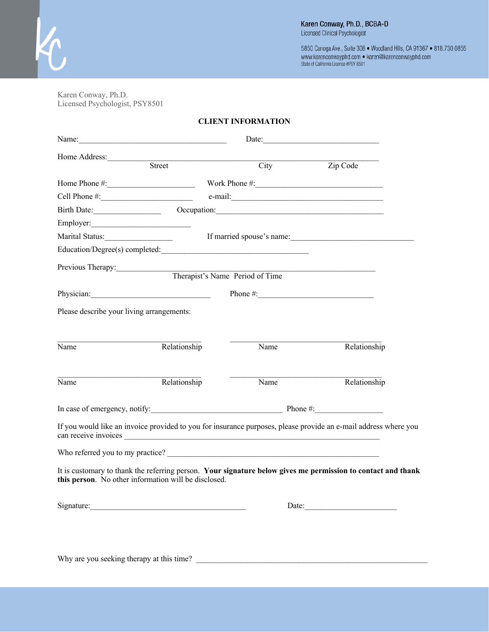

5850 Canoga Ave., Suite 308 . Woodland Hills, CA 91367 . 818.730.0855<br>www.karenconwayphd.com . karen@karenconwayphd.com<br>State of California License #PSY 8501

Karen Conway, Ph.D. Licensed Psychologist, PSY8501

|                                           |                                                      |                                                                                                                                                                                                                                | Date:                                                                                                           |  |
|-------------------------------------------|------------------------------------------------------|--------------------------------------------------------------------------------------------------------------------------------------------------------------------------------------------------------------------------------|-----------------------------------------------------------------------------------------------------------------|--|
| Home Address:                             |                                                      |                                                                                                                                                                                                                                |                                                                                                                 |  |
|                                           | Street                                               | City                                                                                                                                                                                                                           | Zip Code                                                                                                        |  |
|                                           |                                                      |                                                                                                                                                                                                                                |                                                                                                                 |  |
|                                           |                                                      | Cell Phone #: e-mail:                                                                                                                                                                                                          |                                                                                                                 |  |
|                                           |                                                      | Birth Date: Contact Contact Contact Contact Contact Contact Contact Contact Contact Contact Contact Contact Contact Contact Contact Contact Contact Contact Contact Contact Contact Contact Contact Contact Contact Contact Co |                                                                                                                 |  |
|                                           |                                                      |                                                                                                                                                                                                                                |                                                                                                                 |  |
|                                           | Marital Status: National Status:                     |                                                                                                                                                                                                                                | If married spouse's name:                                                                                       |  |
|                                           |                                                      | Education/Degree(s) completed:                                                                                                                                                                                                 |                                                                                                                 |  |
| Previous Therapy:                         |                                                      |                                                                                                                                                                                                                                | <u> 1989 - Johann John Stein, mars an deus Amerikaansk kommunister (</u>                                        |  |
|                                           |                                                      | Therapist's Name Period of Time                                                                                                                                                                                                |                                                                                                                 |  |
|                                           |                                                      |                                                                                                                                                                                                                                |                                                                                                                 |  |
| Please describe your living arrangements: |                                                      |                                                                                                                                                                                                                                |                                                                                                                 |  |
| Name                                      | Relationship                                         | Name                                                                                                                                                                                                                           | Relationship                                                                                                    |  |
| $\overline{\text{Name}}$                  | Relationship                                         | Name                                                                                                                                                                                                                           | Relationship                                                                                                    |  |
|                                           |                                                      |                                                                                                                                                                                                                                |                                                                                                                 |  |
|                                           |                                                      | can receive invoices                                                                                                                                                                                                           | If you would like an invoice provided to you for insurance purposes, please provide an e-mail address where you |  |
|                                           |                                                      |                                                                                                                                                                                                                                |                                                                                                                 |  |
|                                           | this person. No other information will be disclosed. |                                                                                                                                                                                                                                | It is customary to thank the referring person. Your signature below gives me permission to contact and thank    |  |
|                                           |                                                      |                                                                                                                                                                                                                                | Date:                                                                                                           |  |
|                                           |                                                      |                                                                                                                                                                                                                                |                                                                                                                 |  |
|                                           |                                                      |                                                                                                                                                                                                                                |                                                                                                                 |  |

## **CLIENT INFORMATION**

Why are you seeking therapy at this time? \_\_\_\_\_\_\_\_\_\_\_\_\_\_\_\_\_\_\_\_\_\_\_\_\_\_\_\_\_\_\_\_\_\_\_\_\_\_\_\_\_\_\_\_\_\_\_\_\_\_\_\_\_\_\_\_\_\_